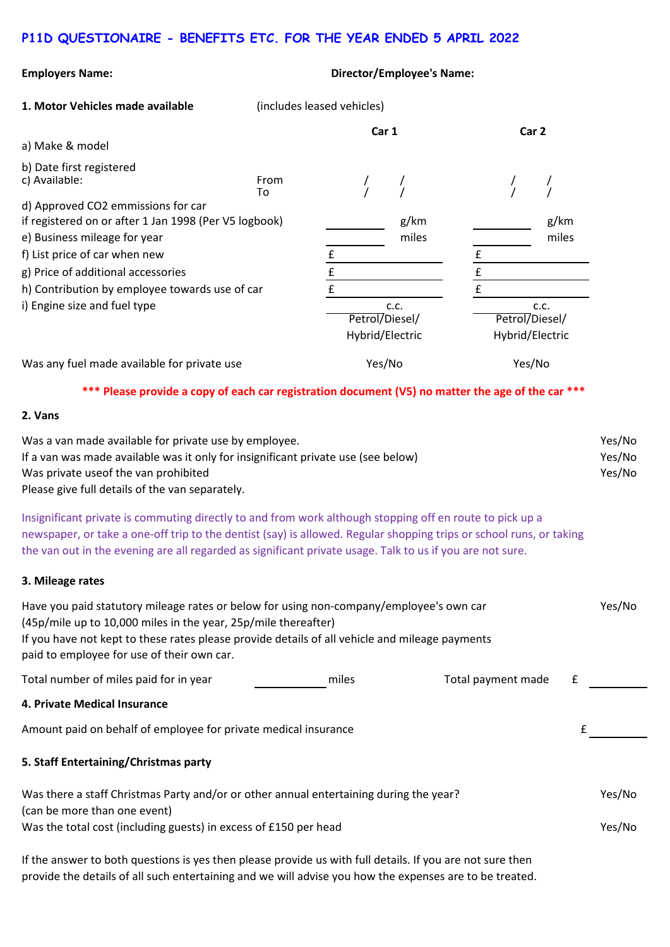## **P11D QUESTIONAIRE - BENEFITS ETC. FOR THE YEAR ENDED 5 APRIL 2022**

| <b>Employers Name:</b>                                                                                                                                                                                                                                                                                                                       | <b>Director/Employee's Name:</b> |                                   |               |                    |                                   |   |        |  |
|----------------------------------------------------------------------------------------------------------------------------------------------------------------------------------------------------------------------------------------------------------------------------------------------------------------------------------------------|----------------------------------|-----------------------------------|---------------|--------------------|-----------------------------------|---|--------|--|
| 1. Motor Vehicles made available                                                                                                                                                                                                                                                                                                             | (includes leased vehicles)       |                                   |               |                    |                                   |   |        |  |
|                                                                                                                                                                                                                                                                                                                                              | Car 1                            |                                   |               | Car <sub>2</sub>   |                                   |   |        |  |
| a) Make & model                                                                                                                                                                                                                                                                                                                              |                                  |                                   |               |                    |                                   |   |        |  |
| b) Date first registered<br>c) Available:                                                                                                                                                                                                                                                                                                    | From<br>To                       |                                   |               |                    |                                   |   |        |  |
| d) Approved CO2 emmissions for car<br>if registered on or after 1 Jan 1998 (Per V5 logbook)<br>e) Business mileage for year<br>f) List price of car when new                                                                                                                                                                                 |                                  | £                                 | g/km<br>miles | £                  | g/km<br>miles                     |   |        |  |
| g) Price of additional accessories<br>h) Contribution by employee towards use of car                                                                                                                                                                                                                                                         |                                  | $\pmb{\mathsf{f}}$<br>£           |               | $\frac{f}{f}$      |                                   |   |        |  |
| i) Engine size and fuel type                                                                                                                                                                                                                                                                                                                 |                                  |                                   | c.c.          |                    | c.c.                              |   |        |  |
|                                                                                                                                                                                                                                                                                                                                              |                                  | Petrol/Diesel/<br>Hybrid/Electric |               |                    | Petrol/Diesel/<br>Hybrid/Electric |   |        |  |
| Was any fuel made available for private use                                                                                                                                                                                                                                                                                                  |                                  | Yes/No                            |               |                    | Yes/No                            |   |        |  |
| *** Please provide a copy of each car registration document (V5) no matter the age of the car ***                                                                                                                                                                                                                                            |                                  |                                   |               |                    |                                   |   |        |  |
| 2. Vans                                                                                                                                                                                                                                                                                                                                      |                                  |                                   |               |                    |                                   |   |        |  |
| Was a van made available for private use by employee.<br>If a van was made available was it only for insignificant private use (see below)<br>Was private useof the van prohibited<br>Please give full details of the van separately.                                                                                                        |                                  |                                   |               |                    | Yes/No<br>Yes/No<br>Yes/No        |   |        |  |
| Insignificant private is commuting directly to and from work although stopping off en route to pick up a<br>newspaper, or take a one-off trip to the dentist (say) is allowed. Regular shopping trips or school runs, or taking<br>the van out in the evening are all regarded as significant private usage. Talk to us if you are not sure. |                                  |                                   |               |                    |                                   |   |        |  |
| 3. Mileage rates                                                                                                                                                                                                                                                                                                                             |                                  |                                   |               |                    |                                   |   |        |  |
| Have you paid statutory mileage rates or below for using non-company/employee's own car<br>(45p/mile up to 10,000 miles in the year, 25p/mile thereafter)<br>If you have not kept to these rates please provide details of all vehicle and mileage payments<br>paid to employee for use of their own car.                                    |                                  |                                   |               |                    |                                   |   | Yes/No |  |
| Total number of miles paid for in year                                                                                                                                                                                                                                                                                                       |                                  | miles                             |               | Total payment made |                                   | £ |        |  |
| 4. Private Medical Insurance                                                                                                                                                                                                                                                                                                                 |                                  |                                   |               |                    |                                   |   |        |  |
| Amount paid on behalf of employee for private medical insurance                                                                                                                                                                                                                                                                              |                                  |                                   |               |                    |                                   | £ |        |  |
| 5. Staff Entertaining/Christmas party                                                                                                                                                                                                                                                                                                        |                                  |                                   |               |                    |                                   |   |        |  |
| Was there a staff Christmas Party and/or or other annual entertaining during the year?<br>(can be more than one event)                                                                                                                                                                                                                       |                                  |                                   |               |                    | Yes/No                            |   |        |  |
| Was the total cost (including guests) in excess of £150 per head                                                                                                                                                                                                                                                                             |                                  |                                   |               |                    |                                   |   | Yes/No |  |
| If the answer to both questions is yes then please provide us with full details. If you are not sure then                                                                                                                                                                                                                                    |                                  |                                   |               |                    |                                   |   |        |  |

provide the details of all such entertaining and we will advise you how the expenses are to be treated.